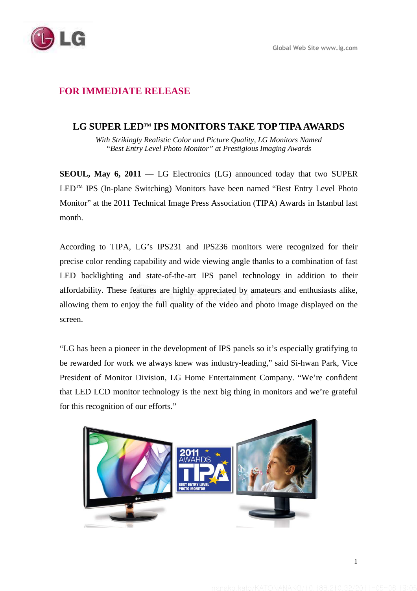

## **FOR IMMEDIATE RELEASE**

## **LG SUPER LEDTM IPS MONITORS TAKE TOP TIPA AWARDS**

*With Strikingly Realistic Color and Picture Quality, LG Monitors Named "Best Entry Level Photo Monitor" at Prestigious Imaging Awards* 

**SEOUL, May 6, 2011** – LG Electronics (LG) announced today that two SUPER LEDTM IPS (In-plane Switching) Monitors have been named "Best Entry Level Photo Monitor" at the 2011 Technical Image Press Association (TIPA) Awards in Istanbul last month.

According to TIPA, LG's IPS231 and IPS236 monitors were recognized for their precise color rending capability and wide viewing angle thanks to a combination of fast LED backlighting and state-of-the-art IPS panel technology in addition to their affordability. These features are highly appreciated by amateurs and enthusiasts alike, allowing them to enjoy the full quality of the video and photo image displayed on the screen.

"LG has been a pioneer in the development of IPS panels so it's especially gratifying to be rewarded for work we always knew was industry-leading," said Si-hwan Park, Vice President of Monitor Division, LG Home Entertainment Company. "We're confident that LED LCD monitor technology is the next big thing in monitors and we're grateful for this recognition of our efforts."

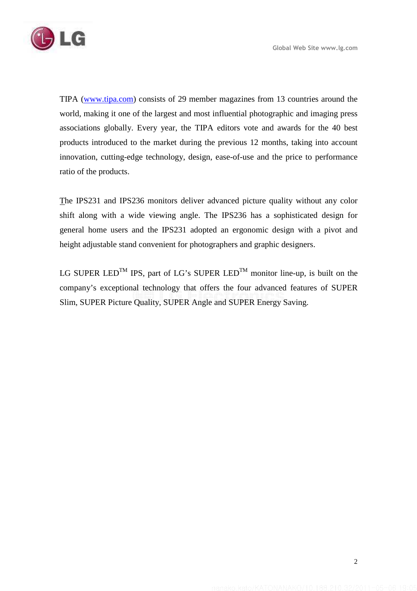

TIPA (www.tipa.com) consists of 29 member magazines from 13 countries around the world, making it one of the largest and most influential photographic and imaging press associations globally. Every year, the TIPA editors vote and awards for the 40 best products introduced to the market during the previous 12 months, taking into account innovation, cutting-edge technology, design, ease-of-use and the price to performance ratio of the products.

The IPS231 and IPS236 monitors deliver advanced picture quality without any color shift along with a wide viewing angle. The IPS236 has a sophisticated design for general home users and the IPS231 adopted an ergonomic design with a pivot and height adjustable stand convenient for photographers and graphic designers.

LG SUPER LED<sup>TM</sup> IPS, part of LG's SUPER LED<sup>TM</sup> monitor line-up, is built on the company's exceptional technology that offers the four advanced features of SUPER Slim, SUPER Picture Quality, SUPER Angle and SUPER Energy Saving.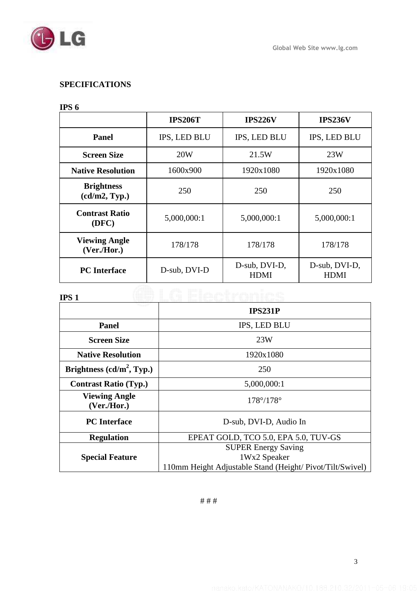

# **SPECIFICATIONS**

### **IPS 6**

|                                     | <b>IPS206T</b> | <b>IPS226V</b>               | <b>IPS236V</b>               |
|-------------------------------------|----------------|------------------------------|------------------------------|
| Panel                               | IPS, LED BLU   | <b>IPS, LED BLU</b>          | IPS, LED BLU                 |
| <b>Screen Size</b>                  | 20W            | 21.5W                        | 23W                          |
| <b>Native Resolution</b>            | 1600x900       | 1920x1080                    | 1920x1080                    |
| <b>Brightness</b><br>(cd/m2, Typ.)  | 250            | 250                          | 250                          |
| <b>Contrast Ratio</b><br>(DFC)      | 5,000,000:1    | 5,000,000:1                  | 5,000,000:1                  |
| <b>Viewing Angle</b><br>(Ver./Hor.) | 178/178        | 178/178                      | 178/178                      |
| <b>PC</b> Interface                 | D-sub, DVI-D   | D-sub, DVI-D,<br><b>HDMI</b> | D-sub, DVI-D,<br><b>HDMI</b> |

### **IPS 1**

|                                     | <b>IPS231P</b>                                                                                         |  |
|-------------------------------------|--------------------------------------------------------------------------------------------------------|--|
| <b>Panel</b>                        | <b>IPS, LED BLU</b>                                                                                    |  |
| <b>Screen Size</b>                  | 23W                                                                                                    |  |
| <b>Native Resolution</b>            | 1920x1080                                                                                              |  |
| Brightness $(cd/m^2, Typ.)$         | 250                                                                                                    |  |
| <b>Contrast Ratio (Typ.)</b>        | 5,000,000:1                                                                                            |  |
| <b>Viewing Angle</b><br>(Ver./Hor.) | 178°/178°                                                                                              |  |
| <b>PC</b> Interface                 | D-sub, DVI-D, Audio In                                                                                 |  |
| <b>Regulation</b>                   | EPEAT GOLD, TCO 5.0, EPA 5.0, TUV-GS                                                                   |  |
| <b>Special Feature</b>              | <b>SUPER Energy Saving</b><br>1Wx2 Speaker<br>110mm Height Adjustable Stand (Height/Pivot/Tilt/Swivel) |  |

#### # # #